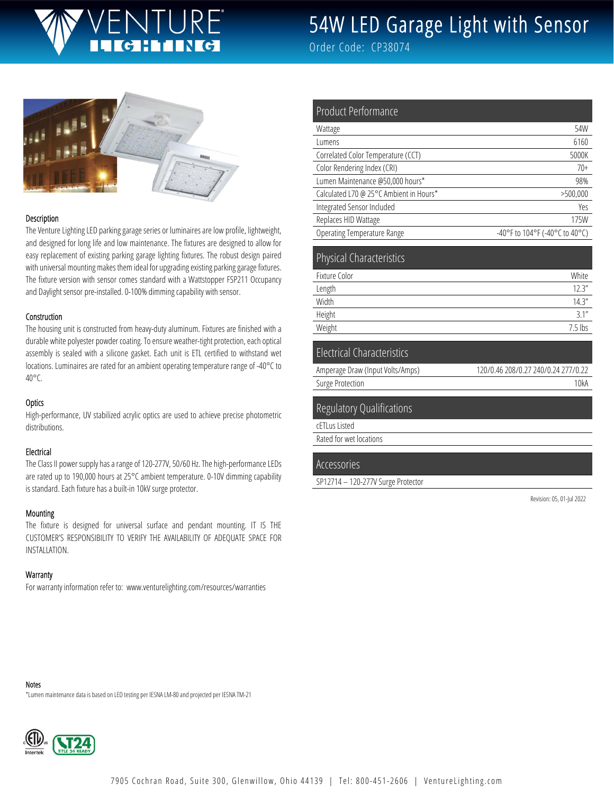# JRF'

# 54W LED Garage Light with Sensor

Order Code: CP38074



#### Description

The Venture Lighting LED parking garage series or luminaires are low profile, lightweight, and designed for long life and low maintenance. The fixtures are designed to allow for easy replacement of existing parking garage lighting fixtures. The robust design paired with universal mounting makes them ideal for upgrading existing parking garage fixtures. The fixture version with sensor comes standard with a Wattstopper FSP211 Occupancy and Daylight sensor pre-installed. 0-100% dimming capability with sensor.

#### Construction

The housing unit is constructed from heavy-duty aluminum. Fixtures are finished with a durable white polyester powder coating. To ensure weather-tight protection, each optical assembly is sealed with a silicone gasket. Each unit is ETL certified to withstand wet locations. Luminaires are rated for an ambient operating temperature range of -40°C to 40°C.

#### **Optics**

High-performance, UV stabilized acrylic optics are used to achieve precise photometric distributions.

#### Electrical

The Class II power supply has a range of 120-277V, 50/60 Hz. The high-performance LEDs are rated up to 190,000 hours at 25°C ambient temperature. 0-10V dimming capability is standard. Each fixture has a built-in 10kV surge protector.

#### Mounting

The fixture is designed for universal surface and pendant mounting. IT IS THE CUSTOMER'S RESPONSIBILITY TO VERIFY THE AVAILABILITY OF ADEQUATE SPACE FOR INSTALLATION.

#### **Warranty**

For warranty information refer to: www.venturelighting.com/resources/warranties

| <b>Product Performance</b>              |                                |
|-----------------------------------------|--------------------------------|
| Wattage                                 | 54W                            |
| Lumens                                  | 6160                           |
| Correlated Color Temperature (CCT)      | 5000K                          |
| Color Rendering Index (CRI)             | $70+$                          |
| Lumen Maintenance @50,000 hours*        | 98%                            |
| Calculated L70 @ 25°C Ambient in Hours* | >500,000                       |
| Integrated Sensor Included              | Yes                            |
| Replaces HID Wattage                    | 175W                           |
| <b>Operating Temperature Range</b>      | -40°F to 104°F (-40°C to 40°C) |
| <b>Physical Characteristics</b>         |                                |
| Fixture Color                           | White                          |
| Length                                  | 12.3''                         |
| Width                                   | 14.3''                         |
| Height                                  | 3.1''                          |
| Weight                                  | $7.5$ lbs                      |
| <b>Electrical Characteristics</b>       |                                |

| Amperage Draw (Input Volts/Amps) | 120/0.46 208/0.27 240/0.24 277/0.22 |
|----------------------------------|-------------------------------------|
| Surge Protection                 | 10kA                                |
|                                  |                                     |

#### Regulatory Qualifications

cETLus Listed

Rated for wet locations

#### Accessories

SP12714 – 120-277V Surge Protector

Revision: 05, 01-Jul 2022

Notes

\*Lumen maintenance data is based on LED testing per IESNA LM-80 and projected per IESNA TM-21